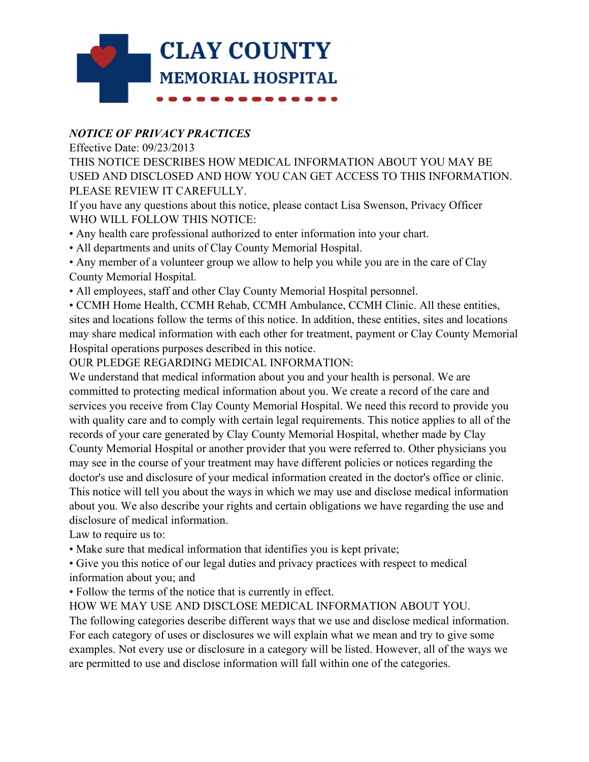

## *NOTICE OF PRIVACY PRACTICES*

Effective Date: 09/23/2013

THIS NOTICE DESCRIBES HOW MEDICAL INFORMATION ABOUT YOU MAY BE USED AND DISCLOSED AND HOW YOU CAN GET ACCESS TO THIS INFORMATION. PLEASE REVIEW IT CAREFULLY.

If you have any questions about this notice, please contact Lisa Swenson, Privacy Officer WHO WILL FOLLOW THIS NOTICE:

- Any health care professional authorized to enter information into your chart.
- All departments and units of Clay County Memorial Hospital.

• Any member of a volunteer group we allow to help you while you are in the care of Clay County Memorial Hospital.

• All employees, staff and other Clay County Memorial Hospital personnel.

• CCMH Home Health, CCMH Rehab, CCMH Ambulance, CCMH Clinic. All these entities, sites and locations follow the terms of this notice. In addition, these entities, sites and locations may share medical information with each other for treatment, payment or Clay County Memorial Hospital operations purposes described in this notice.

OUR PLEDGE REGARDING MEDICAL INFORMATION:

We understand that medical information about you and your health is personal. We are committed to protecting medical information about you. We create a record of the care and services you receive from Clay County Memorial Hospital. We need this record to provide you with quality care and to comply with certain legal requirements. This notice applies to all of the records of your care generated by Clay County Memorial Hospital, whether made by Clay County Memorial Hospital or another provider that you were referred to. Other physicians you may see in the course of your treatment may have different policies or notices regarding the doctor's use and disclosure of your medical information created in the doctor's office or clinic. This notice will tell you about the ways in which we may use and disclose medical information about you. We also describe your rights and certain obligations we have regarding the use and disclosure of medical information.

Law to require us to:

• Make sure that medical information that identifies you is kept private;

• Give you this notice of our legal duties and privacy practices with respect to medical information about you; and

• Follow the terms of the notice that is currently in effect.

HOW WE MAY USE AND DISCLOSE MEDICAL INFORMATION ABOUT YOU.

The following categories describe different ways that we use and disclose medical information. For each category of uses or disclosures we will explain what we mean and try to give some examples. Not every use or disclosure in a category will be listed. However, all of the ways we are permitted to use and disclose information will fall within one of the categories.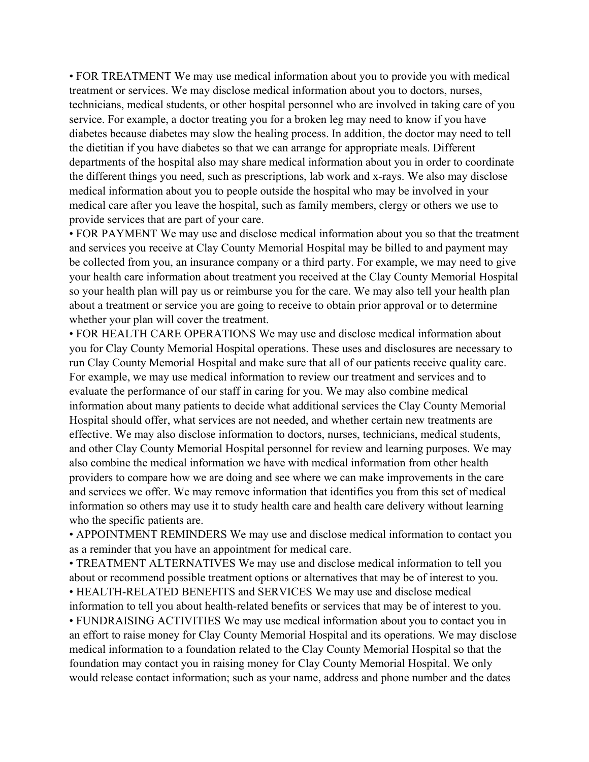• FOR TREATMENT We may use medical information about you to provide you with medical treatment or services. We may disclose medical information about you to doctors, nurses, technicians, medical students, or other hospital personnel who are involved in taking care of you service. For example, a doctor treating you for a broken leg may need to know if you have diabetes because diabetes may slow the healing process. In addition, the doctor may need to tell the dietitian if you have diabetes so that we can arrange for appropriate meals. Different departments of the hospital also may share medical information about you in order to coordinate the different things you need, such as prescriptions, lab work and x-rays. We also may disclose medical information about you to people outside the hospital who may be involved in your medical care after you leave the hospital, such as family members, clergy or others we use to provide services that are part of your care.

• FOR PAYMENT We may use and disclose medical information about you so that the treatment and services you receive at Clay County Memorial Hospital may be billed to and payment may be collected from you, an insurance company or a third party. For example, we may need to give your health care information about treatment you received at the Clay County Memorial Hospital so your health plan will pay us or reimburse you for the care. We may also tell your health plan about a treatment or service you are going to receive to obtain prior approval or to determine whether your plan will cover the treatment.

• FOR HEALTH CARE OPERATIONS We may use and disclose medical information about you for Clay County Memorial Hospital operations. These uses and disclosures are necessary to run Clay County Memorial Hospital and make sure that all of our patients receive quality care. For example, we may use medical information to review our treatment and services and to evaluate the performance of our staff in caring for you. We may also combine medical information about many patients to decide what additional services the Clay County Memorial Hospital should offer, what services are not needed, and whether certain new treatments are effective. We may also disclose information to doctors, nurses, technicians, medical students, and other Clay County Memorial Hospital personnel for review and learning purposes. We may also combine the medical information we have with medical information from other health providers to compare how we are doing and see where we can make improvements in the care and services we offer. We may remove information that identifies you from this set of medical information so others may use it to study health care and health care delivery without learning who the specific patients are.

• APPOINTMENT REMINDERS We may use and disclose medical information to contact you as a reminder that you have an appointment for medical care.

• TREATMENT ALTERNATIVES We may use and disclose medical information to tell you about or recommend possible treatment options or alternatives that may be of interest to you.

• HEALTH-RELATED BENEFITS and SERVICES We may use and disclose medical information to tell you about health-related benefits or services that may be of interest to you.

• FUNDRAISING ACTIVITIES We may use medical information about you to contact you in an effort to raise money for Clay County Memorial Hospital and its operations. We may disclose medical information to a foundation related to the Clay County Memorial Hospital so that the foundation may contact you in raising money for Clay County Memorial Hospital. We only would release contact information; such as your name, address and phone number and the dates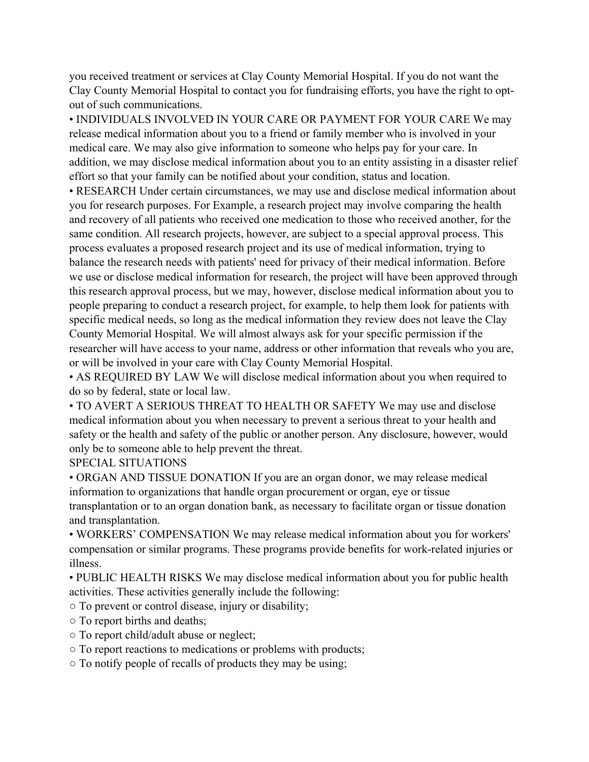you received treatment or services at Clay County Memorial Hospital. If you do not want the Clay County Memorial Hospital to contact you for fundraising efforts, you have the right to optout of such communications.

• INDIVIDUALS INVOLVED IN YOUR CARE OR PAYMENT FOR YOUR CARE We may release medical information about you to a friend or family member who is involved in your medical care. We may also give information to someone who helps pay for your care. In addition, we may disclose medical information about you to an entity assisting in a disaster relief effort so that your family can be notified about your condition, status and location.

• RESEARCH Under certain circumstances, we may use and disclose medical information about you for research purposes. For Example, a research project may involve comparing the health and recovery of all patients who received one medication to those who received another, for the same condition. All research projects, however, are subject to a special approval process. This process evaluates a proposed research project and its use of medical information, trying to balance the research needs with patients' need for privacy of their medical information. Before we use or disclose medical information for research, the project will have been approved through this research approval process, but we may, however, disclose medical information about you to people preparing to conduct a research project, for example, to help them look for patients with specific medical needs, so long as the medical information they review does not leave the Clay County Memorial Hospital. We will almost always ask for your specific permission if the researcher will have access to your name, address or other information that reveals who you are, or will be involved in your care with Clay County Memorial Hospital.

• AS REQUIRED BY LAW We will disclose medical information about you when required to do so by federal, state or local law.

• TO AVERT A SERIOUS THREAT TO HEALTH OR SAFETY We may use and disclose medical information about you when necessary to prevent a serious threat to your health and safety or the health and safety of the public or another person. Any disclosure, however, would only be to someone able to help prevent the threat.

## SPECIAL SITUATIONS

• ORGAN AND TISSUE DONATION If you are an organ donor, we may release medical information to organizations that handle organ procurement or organ, eye or tissue transplantation or to an organ donation bank, as necessary to facilitate organ or tissue donation and transplantation.

• WORKERS' COMPENSATION We may release medical information about you for workers' compensation or similar programs. These programs provide benefits for work-related injuries or illness.

• PUBLIC HEALTH RISKS We may disclose medical information about you for public health activities. These activities generally include the following:

- To prevent or control disease, injury or disability;
- To report births and deaths;
- To report child/adult abuse or neglect;
- To report reactions to medications or problems with products;
- To notify people of recalls of products they may be using;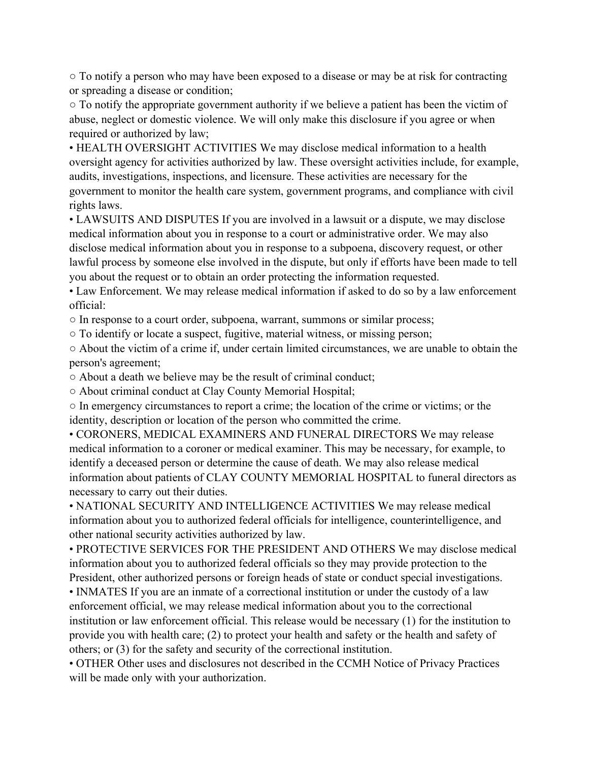○ To notify a person who may have been exposed to a disease or may be at risk for contracting or spreading a disease or condition;

○ To notify the appropriate government authority if we believe a patient has been the victim of abuse, neglect or domestic violence. We will only make this disclosure if you agree or when required or authorized by law;

• HEALTH OVERSIGHT ACTIVITIES We may disclose medical information to a health oversight agency for activities authorized by law. These oversight activities include, for example, audits, investigations, inspections, and licensure. These activities are necessary for the government to monitor the health care system, government programs, and compliance with civil rights laws.

• LAWSUITS AND DISPUTES If you are involved in a lawsuit or a dispute, we may disclose medical information about you in response to a court or administrative order. We may also disclose medical information about you in response to a subpoena, discovery request, or other lawful process by someone else involved in the dispute, but only if efforts have been made to tell you about the request or to obtain an order protecting the information requested.

• Law Enforcement. We may release medical information if asked to do so by a law enforcement official:

○ In response to a court order, subpoena, warrant, summons or similar process;

○ To identify or locate a suspect, fugitive, material witness, or missing person;

○ About the victim of a crime if, under certain limited circumstances, we are unable to obtain the person's agreement;

○ About a death we believe may be the result of criminal conduct;

○ About criminal conduct at Clay County Memorial Hospital;

○ In emergency circumstances to report a crime; the location of the crime or victims; or the identity, description or location of the person who committed the crime.

• CORONERS, MEDICAL EXAMINERS AND FUNERAL DIRECTORS We may release medical information to a coroner or medical examiner. This may be necessary, for example, to identify a deceased person or determine the cause of death. We may also release medical information about patients of CLAY COUNTY MEMORIAL HOSPITAL to funeral directors as necessary to carry out their duties.

• NATIONAL SECURITY AND INTELLIGENCE ACTIVITIES We may release medical information about you to authorized federal officials for intelligence, counterintelligence, and other national security activities authorized by law.

• PROTECTIVE SERVICES FOR THE PRESIDENT AND OTHERS We may disclose medical information about you to authorized federal officials so they may provide protection to the President, other authorized persons or foreign heads of state or conduct special investigations.

• INMATES If you are an inmate of a correctional institution or under the custody of a law enforcement official, we may release medical information about you to the correctional institution or law enforcement official. This release would be necessary (1) for the institution to provide you with health care; (2) to protect your health and safety or the health and safety of others; or (3) for the safety and security of the correctional institution.

• OTHER Other uses and disclosures not described in the CCMH Notice of Privacy Practices will be made only with your authorization.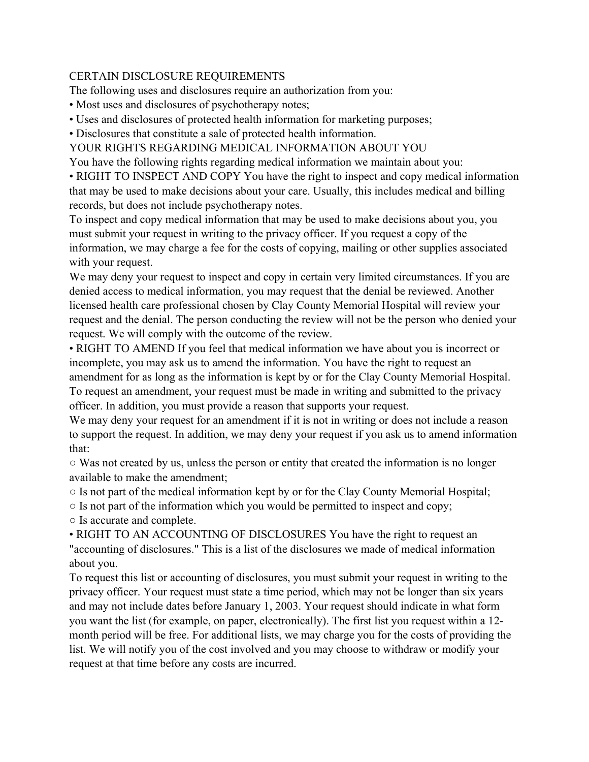## CERTAIN DISCLOSURE REQUIREMENTS

The following uses and disclosures require an authorization from you:

• Most uses and disclosures of psychotherapy notes;

• Uses and disclosures of protected health information for marketing purposes;

• Disclosures that constitute a sale of protected health information.

YOUR RIGHTS REGARDING MEDICAL INFORMATION ABOUT YOU

You have the following rights regarding medical information we maintain about you:

• RIGHT TO INSPECT AND COPY You have the right to inspect and copy medical information that may be used to make decisions about your care. Usually, this includes medical and billing records, but does not include psychotherapy notes.

To inspect and copy medical information that may be used to make decisions about you, you must submit your request in writing to the privacy officer. If you request a copy of the information, we may charge a fee for the costs of copying, mailing or other supplies associated with your request.

We may deny your request to inspect and copy in certain very limited circumstances. If you are denied access to medical information, you may request that the denial be reviewed. Another licensed health care professional chosen by Clay County Memorial Hospital will review your request and the denial. The person conducting the review will not be the person who denied your request. We will comply with the outcome of the review.

• RIGHT TO AMEND If you feel that medical information we have about you is incorrect or incomplete, you may ask us to amend the information. You have the right to request an amendment for as long as the information is kept by or for the Clay County Memorial Hospital. To request an amendment, your request must be made in writing and submitted to the privacy officer. In addition, you must provide a reason that supports your request.

We may deny your request for an amendment if it is not in writing or does not include a reason to support the request. In addition, we may deny your request if you ask us to amend information that:

○ Was not created by us, unless the person or entity that created the information is no longer available to make the amendment;

○ Is not part of the medical information kept by or for the Clay County Memorial Hospital;

○ Is not part of the information which you would be permitted to inspect and copy;

○ Is accurate and complete.

• RIGHT TO AN ACCOUNTING OF DISCLOSURES You have the right to request an "accounting of disclosures." This is a list of the disclosures we made of medical information about you.

To request this list or accounting of disclosures, you must submit your request in writing to the privacy officer. Your request must state a time period, which may not be longer than six years and may not include dates before January 1, 2003. Your request should indicate in what form you want the list (for example, on paper, electronically). The first list you request within a 12 month period will be free. For additional lists, we may charge you for the costs of providing the list. We will notify you of the cost involved and you may choose to withdraw or modify your request at that time before any costs are incurred.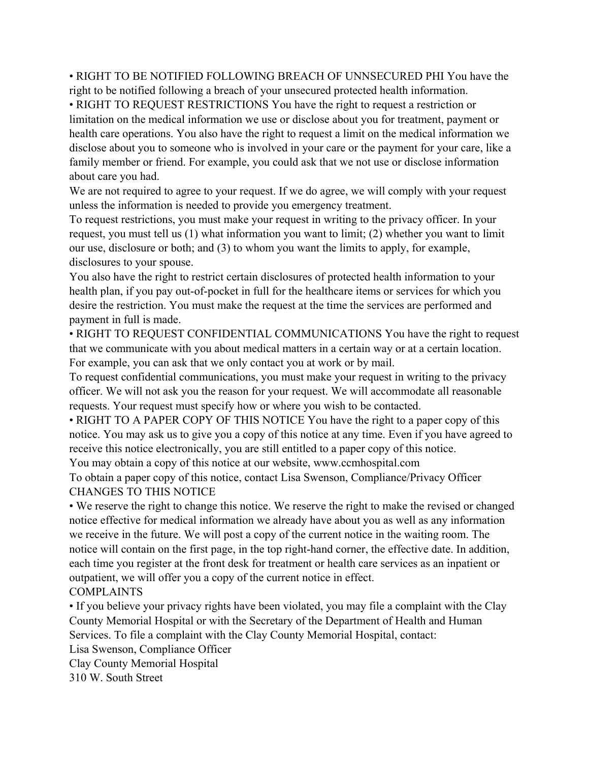• RIGHT TO BE NOTIFIED FOLLOWING BREACH OF UNNSECURED PHI You have the right to be notified following a breach of your unsecured protected health information. • RIGHT TO REQUEST RESTRICTIONS You have the right to request a restriction or limitation on the medical information we use or disclose about you for treatment, payment or health care operations. You also have the right to request a limit on the medical information we disclose about you to someone who is involved in your care or the payment for your care, like a family member or friend. For example, you could ask that we not use or disclose information about care you had.

We are not required to agree to your request. If we do agree, we will comply with your request unless the information is needed to provide you emergency treatment.

To request restrictions, you must make your request in writing to the privacy officer. In your request, you must tell us (1) what information you want to limit; (2) whether you want to limit our use, disclosure or both; and (3) to whom you want the limits to apply, for example, disclosures to your spouse.

You also have the right to restrict certain disclosures of protected health information to your health plan, if you pay out-of-pocket in full for the healthcare items or services for which you desire the restriction. You must make the request at the time the services are performed and payment in full is made.

• RIGHT TO REQUEST CONFIDENTIAL COMMUNICATIONS You have the right to request that we communicate with you about medical matters in a certain way or at a certain location. For example, you can ask that we only contact you at work or by mail.

To request confidential communications, you must make your request in writing to the privacy officer. We will not ask you the reason for your request. We will accommodate all reasonable requests. Your request must specify how or where you wish to be contacted.

• RIGHT TO A PAPER COPY OF THIS NOTICE You have the right to a paper copy of this notice. You may ask us to give you a copy of this notice at any time. Even if you have agreed to receive this notice electronically, you are still entitled to a paper copy of this notice.

You may obtain a copy of this notice at our website, www.ccmhospital.com

To obtain a paper copy of this notice, contact Lisa Swenson, Compliance/Privacy Officer CHANGES TO THIS NOTICE

• We reserve the right to change this notice. We reserve the right to make the revised or changed notice effective for medical information we already have about you as well as any information we receive in the future. We will post a copy of the current notice in the waiting room. The notice will contain on the first page, in the top right-hand corner, the effective date. In addition, each time you register at the front desk for treatment or health care services as an inpatient or outpatient, we will offer you a copy of the current notice in effect.

## COMPLAINTS

• If you believe your privacy rights have been violated, you may file a complaint with the Clay County Memorial Hospital or with the Secretary of the Department of Health and Human Services. To file a complaint with the Clay County Memorial Hospital, contact:

Lisa Swenson, Compliance Officer

Clay County Memorial Hospital

310 W. South Street